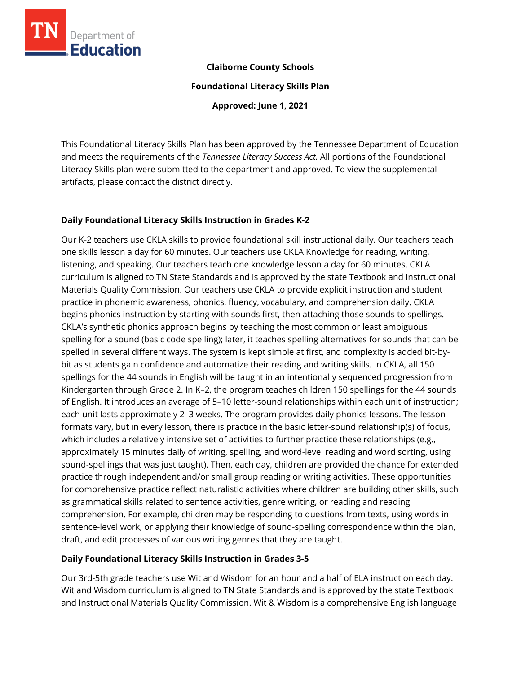

## **Claiborne County Schools**

**Foundational Literacy Skills Plan**

**Approved: June 1, 2021**

This Foundational Literacy Skills Plan has been approved by the Tennessee Department of Education and meets the requirements of the *Tennessee Literacy Success Act.* All portions of the Foundational Literacy Skills plan were submitted to the department and approved. To view the supplemental artifacts, please contact the district directly.

## **Daily Foundational Literacy Skills Instruction in Grades K-2**

Our K-2 teachers use CKLA skills to provide foundational skill instructional daily. Our teachers teach one skills lesson a day for 60 minutes. Our teachers use CKLA Knowledge for reading, writing, listening, and speaking. Our teachers teach one knowledge lesson a day for 60 minutes. CKLA curriculum is aligned to TN State Standards and is approved by the state Textbook and Instructional Materials Quality Commission. Our teachers use CKLA to provide explicit instruction and student practice in phonemic awareness, phonics, fluency, vocabulary, and comprehension daily. CKLA begins phonics instruction by starting with sounds first, then attaching those sounds to spellings. CKLA's synthetic phonics approach begins by teaching the most common or least ambiguous spelling for a sound (basic code spelling); later, it teaches spelling alternatives for sounds that can be spelled in several different ways. The system is kept simple at first, and complexity is added bit-bybit as students gain confidence and automatize their reading and writing skills. In CKLA, all 150 spellings for the 44 sounds in English will be taught in an intentionally sequenced progression from Kindergarten through Grade 2. In K–2, the program teaches children 150 spellings for the 44 sounds of English. It introduces an average of 5–10 letter-sound relationships within each unit of instruction; each unit lasts approximately 2–3 weeks. The program provides daily phonics lessons. The lesson formats vary, but in every lesson, there is practice in the basic letter-sound relationship(s) of focus, which includes a relatively intensive set of activities to further practice these relationships (e.g., approximately 15 minutes daily of writing, spelling, and word-level reading and word sorting, using sound-spellings that was just taught). Then, each day, children are provided the chance for extended practice through independent and/or small group reading or writing activities. These opportunities for comprehensive practice reflect naturalistic activities where children are building other skills, such as grammatical skills related to sentence activities, genre writing, or reading and reading comprehension. For example, children may be responding to questions from texts, using words in sentence-level work, or applying their knowledge of sound-spelling correspondence within the plan, draft, and edit processes of various writing genres that they are taught.

# **Daily Foundational Literacy Skills Instruction in Grades 3-5**

Our 3rd-5th grade teachers use Wit and Wisdom for an hour and a half of ELA instruction each day. Wit and Wisdom curriculum is aligned to TN State Standards and is approved by the state Textbook and Instructional Materials Quality Commission. Wit & Wisdom is a comprehensive English language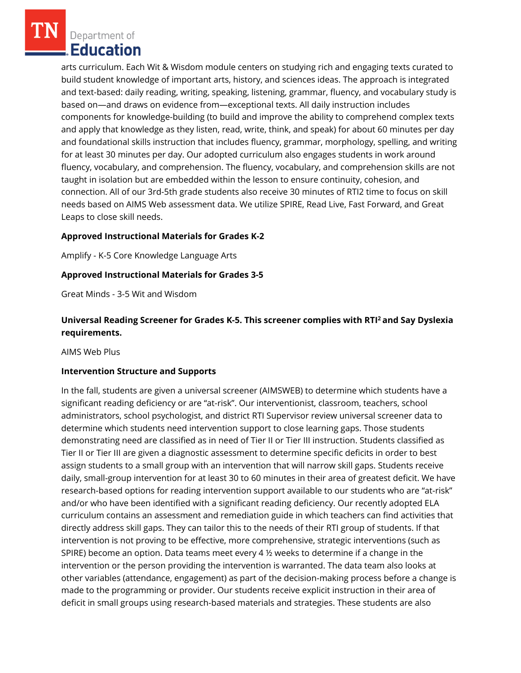Department of Education

arts curriculum. Each Wit & Wisdom module centers on studying rich and engaging texts curated to build student knowledge of important arts, history, and sciences ideas. The approach is integrated and text-based: daily reading, writing, speaking, listening, grammar, fluency, and vocabulary study is based on—and draws on evidence from—exceptional texts. All daily instruction includes components for knowledge-building (to build and improve the ability to comprehend complex texts and apply that knowledge as they listen, read, write, think, and speak) for about 60 minutes per day and foundational skills instruction that includes fluency, grammar, morphology, spelling, and writing for at least 30 minutes per day. Our adopted curriculum also engages students in work around fluency, vocabulary, and comprehension. The fluency, vocabulary, and comprehension skills are not taught in isolation but are embedded within the lesson to ensure continuity, cohesion, and connection. All of our 3rd-5th grade students also receive 30 minutes of RTI2 time to focus on skill needs based on AIMS Web assessment data. We utilize SPIRE, Read Live, Fast Forward, and Great Leaps to close skill needs.

## **Approved Instructional Materials for Grades K-2**

Amplify - K-5 Core Knowledge Language Arts

#### **Approved Instructional Materials for Grades 3-5**

Great Minds - 3-5 Wit and Wisdom

# **Universal Reading Screener for Grades K-5. This screener complies with RTI<sup>2</sup>and Say Dyslexia requirements.**

AIMS Web Plus

#### **Intervention Structure and Supports**

In the fall, students are given a universal screener (AIMSWEB) to determine which students have a significant reading deficiency or are "at-risk". Our interventionist, classroom, teachers, school administrators, school psychologist, and district RTI Supervisor review universal screener data to determine which students need intervention support to close learning gaps. Those students demonstrating need are classified as in need of Tier II or Tier III instruction. Students classified as Tier II or Tier III are given a diagnostic assessment to determine specific deficits in order to best assign students to a small group with an intervention that will narrow skill gaps. Students receive daily, small-group intervention for at least 30 to 60 minutes in their area of greatest deficit. We have research-based options for reading intervention support available to our students who are "at-risk" and/or who have been identified with a significant reading deficiency. Our recently adopted ELA curriculum contains an assessment and remediation guide in which teachers can find activities that directly address skill gaps. They can tailor this to the needs of their RTI group of students. If that intervention is not proving to be effective, more comprehensive, strategic interventions (such as SPIRE) become an option. Data teams meet every 4  $\frac{1}{2}$  weeks to determine if a change in the intervention or the person providing the intervention is warranted. The data team also looks at other variables (attendance, engagement) as part of the decision-making process before a change is made to the programming or provider. Our students receive explicit instruction in their area of deficit in small groups using research-based materials and strategies. These students are also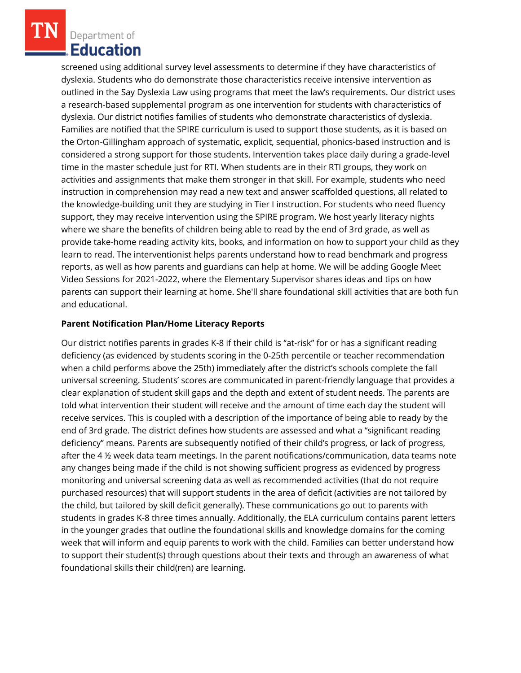Department of **Education** 

screened using additional survey level assessments to determine if they have characteristics of dyslexia. Students who do demonstrate those characteristics receive intensive intervention as outlined in the Say Dyslexia Law using programs that meet the law's requirements. Our district uses a research-based supplemental program as one intervention for students with characteristics of dyslexia. Our district notifies families of students who demonstrate characteristics of dyslexia. Families are notified that the SPIRE curriculum is used to support those students, as it is based on the Orton-Gillingham approach of systematic, explicit, sequential, phonics-based instruction and is considered a strong support for those students. Intervention takes place daily during a grade-level time in the master schedule just for RTI. When students are in their RTI groups, they work on activities and assignments that make them stronger in that skill. For example, students who need instruction in comprehension may read a new text and answer scaffolded questions, all related to the knowledge-building unit they are studying in Tier I instruction. For students who need fluency support, they may receive intervention using the SPIRE program. We host yearly literacy nights where we share the benefits of children being able to read by the end of 3rd grade, as well as provide take-home reading activity kits, books, and information on how to support your child as they learn to read. The interventionist helps parents understand how to read benchmark and progress reports, as well as how parents and guardians can help at home. We will be adding Google Meet Video Sessions for 2021-2022, where the Elementary Supervisor shares ideas and tips on how parents can support their learning at home. She'll share foundational skill activities that are both fun and educational.

#### **Parent Notification Plan/Home Literacy Reports**

Our district notifies parents in grades K-8 if their child is "at-risk" for or has a significant reading deficiency (as evidenced by students scoring in the 0-25th percentile or teacher recommendation when a child performs above the 25th) immediately after the district's schools complete the fall universal screening. Students' scores are communicated in parent-friendly language that provides a clear explanation of student skill gaps and the depth and extent of student needs. The parents are told what intervention their student will receive and the amount of time each day the student will receive services. This is coupled with a description of the importance of being able to ready by the end of 3rd grade. The district defines how students are assessed and what a "significant reading deficiency" means. Parents are subsequently notified of their child's progress, or lack of progress, after the 4 ½ week data team meetings. In the parent notifications/communication, data teams note any changes being made if the child is not showing sufficient progress as evidenced by progress monitoring and universal screening data as well as recommended activities (that do not require purchased resources) that will support students in the area of deficit (activities are not tailored by the child, but tailored by skill deficit generally). These communications go out to parents with students in grades K-8 three times annually. Additionally, the ELA curriculum contains parent letters in the younger grades that outline the foundational skills and knowledge domains for the coming week that will inform and equip parents to work with the child. Families can better understand how to support their student(s) through questions about their texts and through an awareness of what foundational skills their child(ren) are learning.